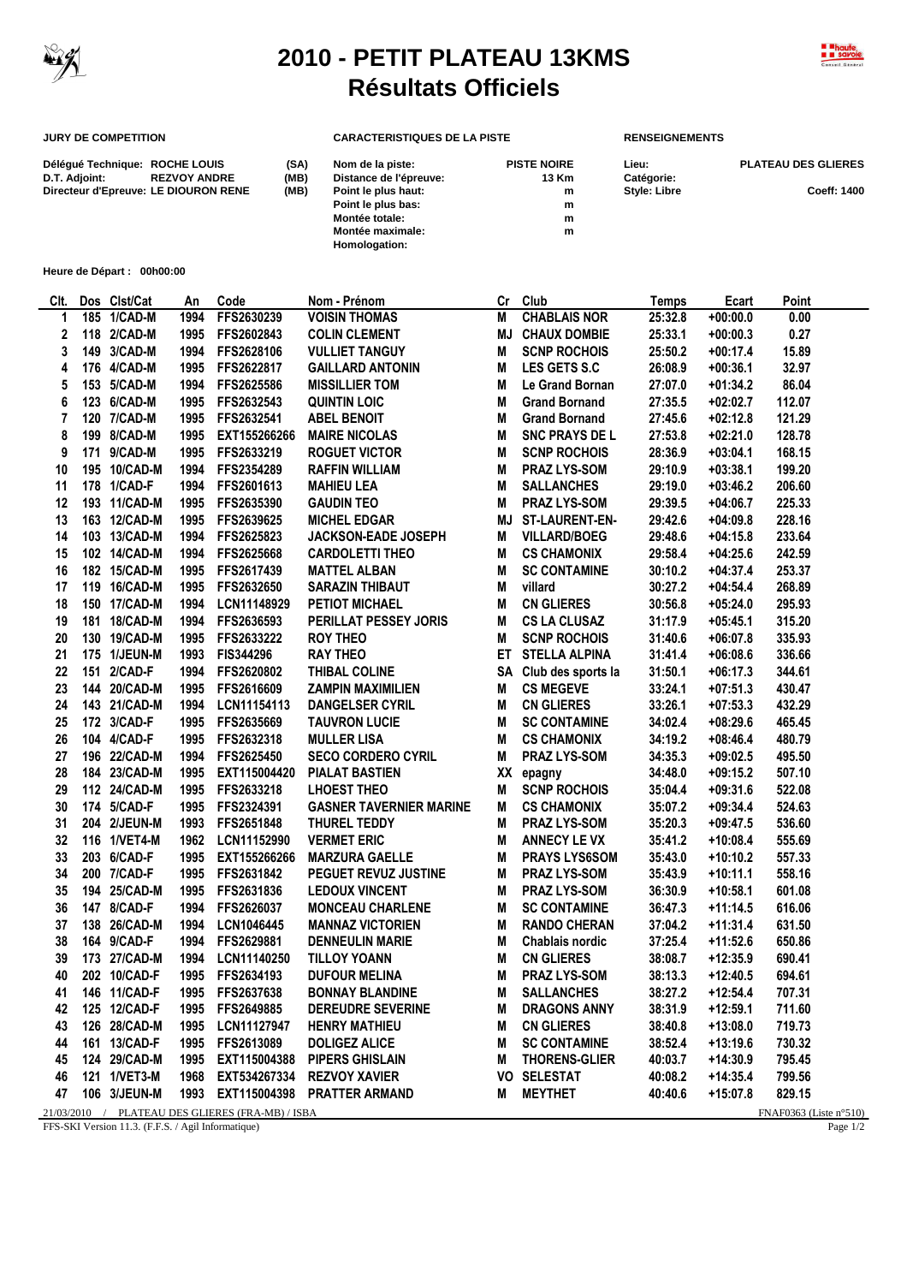

 $\overline{a}$ 

## **2010 - PETIT PLATEAU 13KMS Résultats Officiels**



## **JURY DE COMPETITION CARACTERISTIQUES DE LA PISTE RENSEIGNEMENTS**

**Homologation:**

| Déléqué Technique: ROCHE LOUIS       |                     | (SA) | Nom de la piste:       | <b>PISTE NOIRE</b> | Lieu:               | <b>PLATEAU DES GLIERES</b> |
|--------------------------------------|---------------------|------|------------------------|--------------------|---------------------|----------------------------|
| D.T. Adjoint:                        | <b>REZVOY ANDRE</b> | (MB) | Distance de l'épreuve: | 13 Km              | Catégorie:          |                            |
| Directeur d'Epreuve: LE DIOURON RENE |                     | (MB) | Point le plus haut:    | m                  | <b>Style: Libre</b> | <b>Coeff: 1400</b>         |
|                                      |                     |      | Point le plus bas:     | m                  |                     |                            |
|                                      |                     |      | Montée totale:         | m                  |                     |                            |
|                                      |                     |      | Montée maximale:       | m                  |                     |                            |

**Heure de Départ : 00h00:00**

| CIt.                                                                          |     | Dos Clst/Cat | An   | Code            | Nom - Prénom                   | Cr | Club                  | <b>Temps</b> | Ecart      | Point  |
|-------------------------------------------------------------------------------|-----|--------------|------|-----------------|--------------------------------|----|-----------------------|--------------|------------|--------|
| 1                                                                             |     | 185 1/CAD-M  | 1994 | FFS2630239      | <b>VOISIN THOMAS</b>           | M  | <b>CHABLAIS NOR</b>   | 25:32.8      | $+00:00.0$ | 0.00   |
| 2                                                                             |     | 118 2/CAD-M  | 1995 | FFS2602843      | <b>COLIN CLEMENT</b>           | ΜJ | <b>CHAUX DOMBIE</b>   | 25:33.1      | $+00:00.3$ | 0.27   |
| 3                                                                             |     | 149 3/CAD-M  | 1994 | FFS2628106      | <b>VULLIET TANGUY</b>          | M  | <b>SCNP ROCHOIS</b>   | 25:50.2      | $+00:17.4$ | 15.89  |
| 4                                                                             |     | 176 4/CAD-M  | 1995 | FFS2622817      | <b>GAILLARD ANTONIN</b>        | M  | <b>LES GETS S.C</b>   | 26:08.9      | $+00:36.1$ | 32.97  |
| 5                                                                             |     | 153 5/CAD-M  | 1994 | FFS2625586      | <b>MISSILLIER TOM</b>          | M  | Le Grand Bornan       | 27:07.0      | $+01:34.2$ | 86.04  |
| 6                                                                             |     | 123 6/CAD-M  | 1995 | FFS2632543      | <b>QUINTIN LOIC</b>            | M  | <b>Grand Bornand</b>  | 27:35.5      | $+02:02.7$ | 112.07 |
| 7                                                                             |     | 120 7/CAD-M  | 1995 | FFS2632541      | <b>ABEL BENOIT</b>             | M  | <b>Grand Bornand</b>  | 27:45.6      | $+02:12.8$ | 121.29 |
| 8                                                                             |     | 199 8/CAD-M  | 1995 | EXT155266266    | <b>MAIRE NICOLAS</b>           | M  | <b>SNC PRAYS DE L</b> | 27:53.8      | $+02:21.0$ | 128.78 |
| 9                                                                             | 171 | 9/CAD-M      | 1995 | FFS2633219      | <b>ROGUET VICTOR</b>           | M  | <b>SCNP ROCHOIS</b>   | 28:36.9      | $+03:04.1$ | 168.15 |
| 10                                                                            |     | 195 10/CAD-M | 1994 | FFS2354289      | <b>RAFFIN WILLIAM</b>          | M  | <b>PRAZ LYS-SOM</b>   | 29:10.9      | $+03:38.1$ | 199.20 |
| 11                                                                            |     | 178 1/CAD-F  | 1994 | FFS2601613      | <b>MAHIEU LEA</b>              | M  | <b>SALLANCHES</b>     | 29:19.0      | $+03:46.2$ | 206.60 |
| 12                                                                            |     | 193 11/CAD-M | 1995 | FFS2635390      | <b>GAUDIN TEO</b>              | M  | <b>PRAZ LYS-SOM</b>   | 29:39.5      | $+04:06.7$ | 225.33 |
| 13                                                                            |     | 163 12/CAD-M | 1995 | FFS2639625      | <b>MICHEL EDGAR</b>            | MJ | ST-LAURENT-EN-        | 29:42.6      | $+04:09.8$ | 228.16 |
| 14                                                                            |     | 103 13/CAD-M | 1994 | FFS2625823      | <b>JACKSON-EADE JOSEPH</b>     | M  | <b>VILLARD/BOEG</b>   | 29:48.6      | $+04:15.8$ | 233.64 |
| 15                                                                            |     | 102 14/CAD-M | 1994 | FFS2625668      | <b>CARDOLETTI THEO</b>         | M  | <b>CS CHAMONIX</b>    | 29:58.4      | $+04:25.6$ | 242.59 |
| 16                                                                            |     | 182 15/CAD-M | 1995 | FFS2617439      | <b>MATTEL ALBAN</b>            | M  | <b>SC CONTAMINE</b>   | 30:10.2      | $+04:37.4$ | 253.37 |
| 17                                                                            |     | 119 16/CAD-M | 1995 | FFS2632650      | <b>SARAZIN THIBAUT</b>         | M  | villard               | 30:27.2      | $+04:54.4$ | 268.89 |
| 18                                                                            |     | 150 17/CAD-M | 1994 | LCN11148929     | <b>PETIOT MICHAEL</b>          | M  | <b>CN GLIERES</b>     | 30:56.8      | $+05:24.0$ | 295.93 |
| 19                                                                            | 181 | 18/CAD-M     | 1994 | FFS2636593      | PERILLAT PESSEY JORIS          | M  | <b>CS LA CLUSAZ</b>   | 31:17.9      | $+05:45.1$ | 315.20 |
| 20                                                                            |     | 130 19/CAD-M | 1995 | FFS2633222      | <b>ROY THEO</b>                | M  | <b>SCNP ROCHOIS</b>   | 31:40.6      | $+06:07.8$ | 335.93 |
| 21                                                                            |     | 175 1/JEUN-M | 1993 | FIS344296       | <b>RAY THEO</b>                | ET | <b>STELLA ALPINA</b>  | 31:41.4      | $+06:08.6$ | 336.66 |
| 22                                                                            | 151 | 2/CAD-F      | 1994 | FFS2620802      | THIBAL COLINE                  | SA | Club des sports la    | 31:50.1      | $+06:17.3$ | 344.61 |
| 23                                                                            |     | 144 20/CAD-M | 1995 | FFS2616609      | <b>ZAMPIN MAXIMILIEN</b>       | M  | <b>CS MEGEVE</b>      | 33:24.1      | $+07:51.3$ | 430.47 |
| 24                                                                            |     | 143 21/CAD-M | 1994 | LCN11154113     | <b>DANGELSER CYRIL</b>         | M  | <b>CN GLIERES</b>     | 33:26.1      | $+07:53.3$ | 432.29 |
| 25                                                                            |     | 172 3/CAD-F  | 1995 | FFS2635669      | <b>TAUVRON LUCIE</b>           | M  | <b>SC CONTAMINE</b>   | 34:02.4      | $+08:29.6$ | 465.45 |
| 26                                                                            |     | 104 4/CAD-F  | 1995 | FFS2632318      | <b>MULLER LISA</b>             | M  | <b>CS CHAMONIX</b>    | 34:19.2      | $+08:46.4$ | 480.79 |
| 27                                                                            |     | 196 22/CAD-M | 1994 | FFS2625450      | <b>SECO CORDERO CYRIL</b>      | M  | <b>PRAZ LYS-SOM</b>   | 34:35.3      | $+09:02.5$ | 495.50 |
| 28                                                                            |     | 184 23/CAD-M | 1995 | EXT115004420    | <b>PIALAT BASTIEN</b>          |    | XX epagny             | 34:48.0      | $+09:15.2$ | 507.10 |
| 29                                                                            |     | 112 24/CAD-M | 1995 | FFS2633218      | <b>LHOEST THEO</b>             | M  | <b>SCNP ROCHOIS</b>   | 35:04.4      | $+09:31.6$ | 522.08 |
| 30                                                                            |     | 174 5/CAD-F  | 1995 | FFS2324391      | <b>GASNER TAVERNIER MARINE</b> | M  | <b>CS CHAMONIX</b>    | 35:07.2      | $+09:34.4$ | 524.63 |
| 31                                                                            |     | 204 2/JEUN-M | 1993 | FFS2651848      | THUREL TEDDY                   | M  | <b>PRAZ LYS-SOM</b>   | 35:20.3      | $+09:47.5$ | 536.60 |
| 32                                                                            |     | 116 1/VET4-M | 1962 | LCN11152990     | <b>VERMET ERIC</b>             | M  | <b>ANNECY LE VX</b>   | 35:41.2      | $+10:08.4$ | 555.69 |
| 33                                                                            |     | 203 6/CAD-F  | 1995 | EXT155266266    | <b>MARZURA GAELLE</b>          | M  | <b>PRAYS LYS6SOM</b>  | 35:43.0      | +10:10.2   | 557.33 |
| 34                                                                            |     | 200 7/CAD-F  | 1995 | FFS2631842      | PEGUET REVUZ JUSTINE           | M  | <b>PRAZ LYS-SOM</b>   | 35:43.9      | $+10:11.1$ | 558.16 |
| 35                                                                            |     | 194 25/CAD-M | 1995 | FFS2631836      | <b>LEDOUX VINCENT</b>          | M  | <b>PRAZ LYS-SOM</b>   | 36:30.9      | $+10:58.1$ | 601.08 |
| 36                                                                            |     | 147 8/CAD-F  | 1994 | FFS2626037      | <b>MONCEAU CHARLENE</b>        | M  | <b>SC CONTAMINE</b>   | 36:47.3      | $+11:14.5$ | 616.06 |
| 37                                                                            |     | 138 26/CAD-M | 1994 | LCN1046445      | <b>MANNAZ VICTORIEN</b>        | M  | <b>RANDO CHERAN</b>   | 37:04.2      | $+11:31.4$ | 631.50 |
| 38                                                                            |     | 164 9/CAD-F  | 1994 | FFS2629881      | <b>DENNEULIN MARIE</b>         | M  | Chablais nordic       | 37:25.4      | $+11:52.6$ | 650.86 |
| 39                                                                            |     | 173 27/CAD-M | 1994 | LCN11140250     | <b>TILLOY YOANN</b>            | M  | <b>CN GLIERES</b>     | 38:08.7      | $+12:35.9$ | 690.41 |
| 40                                                                            |     | 202 10/CAD-F | 1995 | FFS2634193      | <b>DUFOUR MELINA</b>           | M  | <b>PRAZ LYS-SOM</b>   | 38:13.3      | $+12:40.5$ | 694.61 |
| 41                                                                            |     | 146 11/CAD-F |      | 1995 FFS2637638 | <b>BONNAY BLANDINE</b>         | M  | <b>SALLANCHES</b>     | 38:27.2      | $+12:54.4$ | 707.31 |
| 42                                                                            |     | 125 12/CAD-F |      | 1995 FFS2649885 | <b>DEREUDRE SEVERINE</b>       | M  | <b>DRAGONS ANNY</b>   | 38:31.9      | $+12:59.1$ | 711.60 |
| 43                                                                            |     | 126 28/CAD-M | 1995 | LCN11127947     | <b>HENRY MATHIEU</b>           | M  | <b>CN GLIERES</b>     | 38:40.8      | $+13:08.0$ | 719.73 |
| 44                                                                            |     | 161 13/CAD-F | 1995 | FFS2613089      | <b>DOLIGEZ ALICE</b>           | M  | <b>SC CONTAMINE</b>   | 38:52.4      | $+13:19.6$ | 730.32 |
| 45                                                                            |     | 124 29/CAD-M | 1995 | EXT115004388    | <b>PIPERS GHISLAIN</b>         | M  | <b>THORENS-GLIER</b>  | 40:03.7      | $+14:30.9$ | 795.45 |
| 46                                                                            |     | 121 1/VET3-M | 1968 | EXT534267334    | <b>REZVOY XAVIER</b>           |    | <b>VO SELESTAT</b>    | 40:08.2      | $+14:35.4$ | 799.56 |
| 47                                                                            |     | 106 3/JEUN-M | 1993 | EXT115004398    | <b>PRATTER ARMAND</b>          | M  | <b>MEYTHET</b>        | 40:40.6      | $+15:07.8$ | 829.15 |
| 21/03/2010 / PLATEAU DES GLIERES (FRA-MB) / ISBA<br>FNAF0363 (Liste $n°510$ ) |     |              |      |                 |                                |    |                       |              |            |        |

FFS-SKI Version 11.3. (F.F.S. / Agil Informatique) Page 1/2